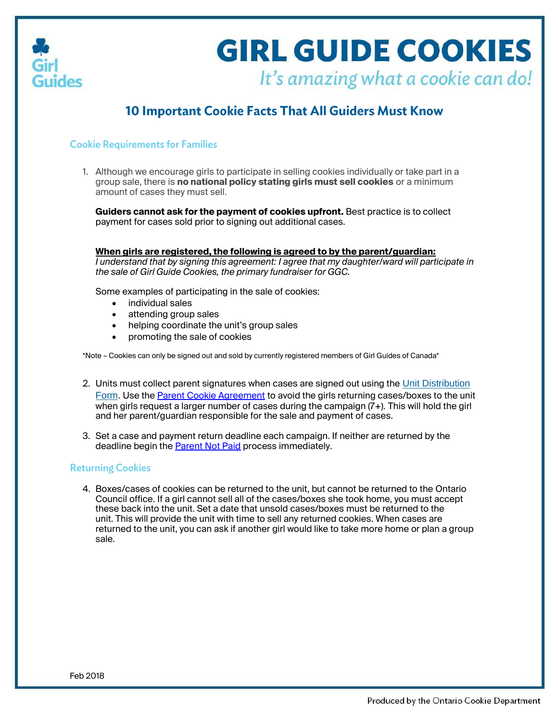

## **GIRL GUIDE COOKIES** It's amazing what a cookie can do!

### **10 Important Cookie Facts That All Guiders Must Know**

#### **Cookie Requirements for Families**

1. Although we encourage girls to participate in selling cookies individually or take part in a group sale, there is **no national policy stating girls must sell cookies** or a minimum amount of cases they must sell.

**Guiders cannot ask for the payment of cookies upfront.** Best practice is to collect payment for cases sold prior to signing out additional cases.

**When girls are registered, the following is agreed to by the parent/guardian:**

*I understand that by signing this agreement: I agree that my daughter/ward will participate in the sale of Girl Guide Cookies, the primary fundraiser for GGC.*

Some examples of participating in the sale of cookies:

- individual sales
- attending group sales
- helping coordinate the unit's group sales
- promoting the sale of cookies

\*Note – Cookies can only be signed out and sold by currently registered members of Girl Guides of Canada\*

- 2. Units must collect parent signatures when cases are signed out using the Unit [Distribution](http://www.girlguides.ca/WEB/Documents/ON/Cookies/Unit%20cookie%20distribution%20form.pdf) [Form](http://www.girlguides.ca/WEB/Documents/ON/Cookies/Unit%20cookie%20distribution%20form.pdf). Use th[e Parent Cookie Agreement](http://www.girlguides.ca/WEB/Documents/ON/Cookies/pdf_cookies_cookie%20agreement_form.pdf) to avoid the girls returning cases/boxes to the unit when girls request a larger number of cases during the campaign  $(7+)$ . This will hold the girl and her parent/guardian responsible for the sale and payment of cases.
- 3. Set a case and payment return deadline each campaign. If neither are returned by the deadline begin the **Parent Not Paid** process immediately.

#### **Returning Cookies**

4. Boxes/cases of cookies can be returned to the unit, but cannot be returned to the Ontario Council office. If a girl cannot sell all of the cases/boxes she took home, you must accept these back into the unit. Set a date that unsold cases/boxes must be returned to the unit. This will provide the unit with time to sell any returned cookies. When cases are returned to the unit, you can ask if another girl would like to take more home or plan a group sale.